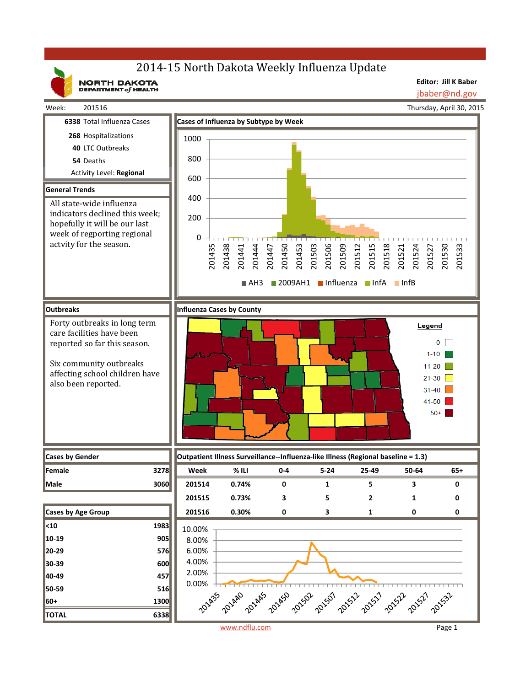# 2014-15 North Dakota Weekly Influenza Update

NORTH DAKOTA

**Editor: Jill K Baber** jbaber@nd.gov

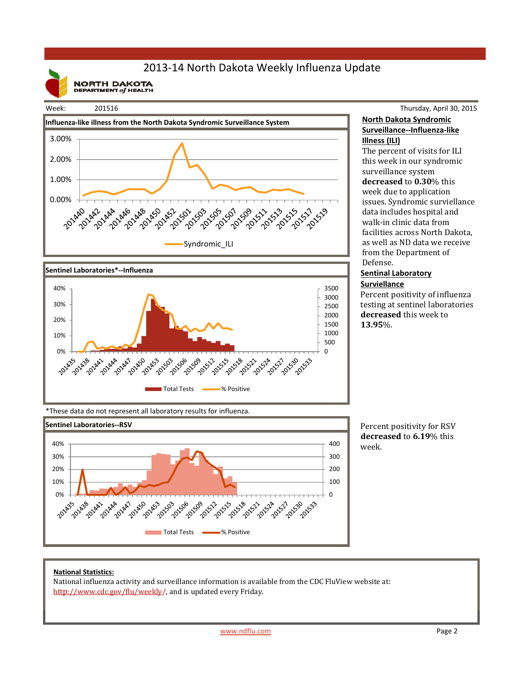## 2013‐14 North Dakota Weekly Influenza Update

**NORTH DAKOTA**<br>DEPARTMENT of HEALTH

#### Week: 201516





### Thursday, April 30, 2015 **North Dakota Syndromic Surveillance‐‐Influenza‐like Illness (ILI)**

The percent of visits for ILI this week in our syndromic surveillance system **decreased** to **0.30**% this week due to application issues. Syndromic surviellance data includes hospital and walk-in clinic data from facilities across North Dakota, as well as ND data we receive from the Department of Defense. 

### **Sentinal Laboratory Surviellance**

Percent positivity of influenza testing at sentinel laboratories decreased this week to **13.95**%. 

\*These data do not represent all laboratory results for influenza.



Percent positivity for RSV **decreased** to **6.19**% this week.

#### **National Statistics:**

National influenza activity and surveillance information is available from the CDC FluView website at: http://www.cdc.gov/flu/weekly/, and is updated every Friday.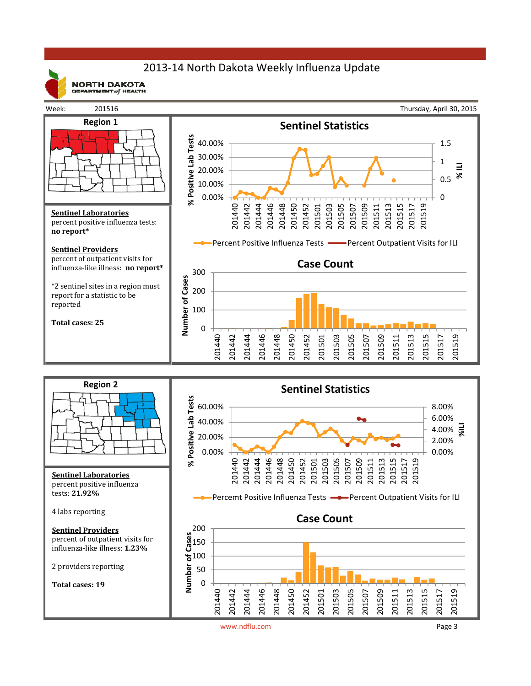## 2013‐14 North Dakota Weekly Influenza Update



**NORTH DAKOTA** DEPARTMENT  $of$  HEALTH